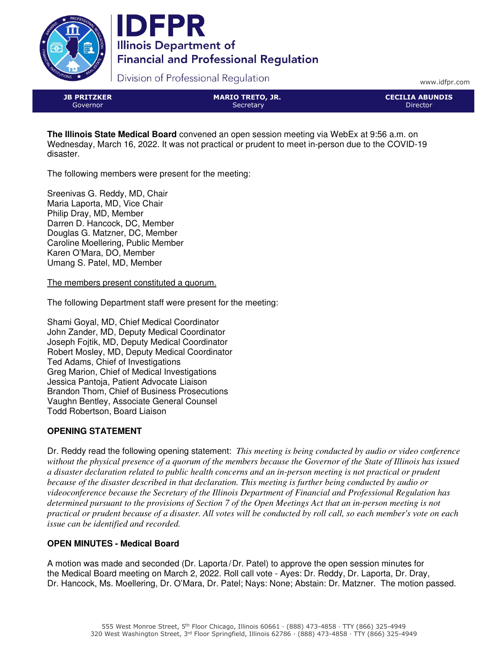



Division of Professional Regulation

www.idfpr.com

| <b>JB PRITZKER</b> |
|--------------------|
| Governor           |

MARIO TRETO, JR. **Secretary** 

CECILIA ABUNDIS Director

**The Illinois State Medical Board** convened an open session meeting via WebEx at 9:56 a.m. on Wednesday, March 16, 2022. It was not practical or prudent to meet in-person due to the COVID-19 disaster.

The following members were present for the meeting:

Sreenivas G. Reddy, MD, Chair Maria Laporta, MD, Vice Chair Philip Dray, MD, Member Darren D. Hancock, DC, Member Douglas G. Matzner, DC, Member Caroline Moellering, Public Member Karen O'Mara, DO, Member Umang S. Patel, MD, Member

The members present constituted a quorum.

The following Department staff were present for the meeting:

Shami Goyal, MD, Chief Medical Coordinator John Zander, MD, Deputy Medical Coordinator Joseph Fojtik, MD, Deputy Medical Coordinator Robert Mosley, MD, Deputy Medical Coordinator Ted Adams, Chief of Investigations Greg Marion, Chief of Medical Investigations Jessica Pantoja, Patient Advocate Liaison Brandon Thom, Chief of Business Prosecutions Vaughn Bentley, Associate General Counsel Todd Robertson, Board Liaison

# **OPENING STATEMENT**

Dr. Reddy read the following opening statement: *This meeting is being conducted by audio or video conference without the physical presence of a quorum of the members because the Governor of the State of Illinois has issued a disaster declaration related to public health concerns and an in-person meeting is not practical or prudent because of the disaster described in that declaration. This meeting is further being conducted by audio or videoconference because the Secretary of the Illinois Department of Financial and Professional Regulation has determined pursuant to the provisions of Section 7 of the Open Meetings Act that an in-person meeting is not practical or prudent because of a disaster. All votes will be conducted by roll call, so each member's vote on each issue can be identified and recorded.*

# **OPEN MINUTES - Medical Board**

A motion was made and seconded (Dr. Laporta/Dr. Patel) to approve the open session minutes for the Medical Board meeting on March 2, 2022. Roll call vote - Ayes: Dr. Reddy, Dr. Laporta, Dr. Dray, Dr. Hancock, Ms. Moellering, Dr. O'Mara, Dr. Patel; Nays: None; Abstain: Dr. Matzner. The motion passed.